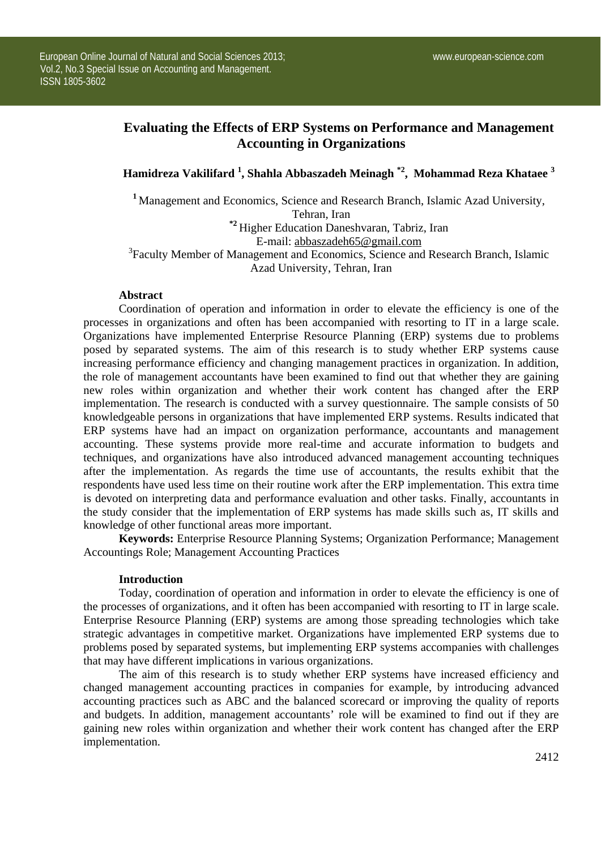# **Evaluating the Effects of ERP Systems on Performance and Management Accounting in Organizations**

**Hamidreza Vakilifard 1 , Shahla Abbaszadeh Meinagh \*2, Mohammad Reza Khataee 3** 

**<sup>1</sup>**Management and Economics, Science and Research Branch, Islamic Azad University, Tehran, Iran **\*2** Higher Education Daneshvaran, Tabriz, Iran

E-mail: abbaszadeh65@gmail.com

<sup>3</sup> Faculty Member of Management and Economics, Science and Research Branch, Islamic Azad University, Tehran, Iran

### **Abstract**

Coordination of operation and information in order to elevate the efficiency is one of the processes in organizations and often has been accompanied with resorting to IT in a large scale. Organizations have implemented Enterprise Resource Planning (ERP) systems due to problems posed by separated systems. The aim of this research is to study whether ERP systems cause increasing performance efficiency and changing management practices in organization. In addition, the role of management accountants have been examined to find out that whether they are gaining new roles within organization and whether their work content has changed after the ERP implementation. The research is conducted with a survey questionnaire. The sample consists of 50 knowledgeable persons in organizations that have implemented ERP systems. Results indicated that ERP systems have had an impact on organization performance, accountants and management accounting. These systems provide more real-time and accurate information to budgets and techniques, and organizations have also introduced advanced management accounting techniques after the implementation. As regards the time use of accountants, the results exhibit that the respondents have used less time on their routine work after the ERP implementation. This extra time is devoted on interpreting data and performance evaluation and other tasks. Finally, accountants in the study consider that the implementation of ERP systems has made skills such as, IT skills and knowledge of other functional areas more important.

**Keywords:** Enterprise Resource Planning Systems; Organization Performance; Management Accountings Role; Management Accounting Practices

### **Introduction**

Today, coordination of operation and information in order to elevate the efficiency is one of the processes of organizations, and it often has been accompanied with resorting to IT in large scale. Enterprise Resource Planning (ERP) systems are among those spreading technologies which take strategic advantages in competitive market. Organizations have implemented ERP systems due to problems posed by separated systems, but implementing ERP systems accompanies with challenges that may have different implications in various organizations.

The aim of this research is to study whether ERP systems have increased efficiency and changed management accounting practices in companies for example, by introducing advanced accounting practices such as ABC and the balanced scorecard or improving the quality of reports and budgets. In addition, management accountants' role will be examined to find out if they are gaining new roles within organization and whether their work content has changed after the ERP implementation.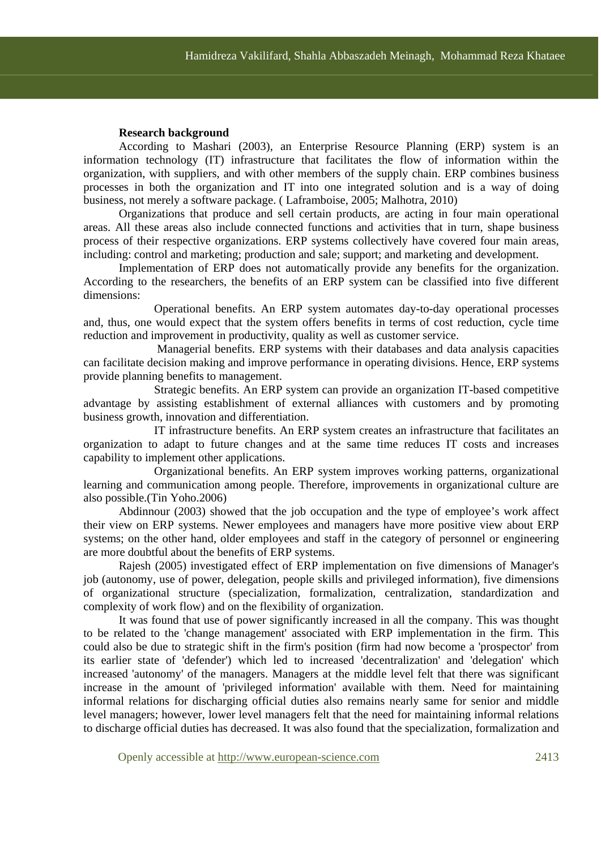### **Research background**

According to Mashari (2003), an Enterprise Resource Planning (ERP) system is an information technology (IT) infrastructure that facilitates the flow of information within the organization, with suppliers, and with other members of the supply chain. ERP combines business processes in both the organization and IT into one integrated solution and is a way of doing business, not merely a software package. ( Laframboise, 2005; Malhotra, 2010)

Organizations that produce and sell certain products, are acting in four main operational areas. All these areas also include connected functions and activities that in turn, shape business process of their respective organizations. ERP systems collectively have covered four main areas, including: control and marketing; production and sale; support; and marketing and development.

Implementation of ERP does not automatically provide any benefits for the organization. According to the researchers, the benefits of an ERP system can be classified into five different dimensions:

 Operational benefits. An ERP system automates day-to-day operational processes and, thus, one would expect that the system offers benefits in terms of cost reduction, cycle time reduction and improvement in productivity, quality as well as customer service.

 Managerial benefits. ERP systems with their databases and data analysis capacities can facilitate decision making and improve performance in operating divisions. Hence, ERP systems provide planning benefits to management.

 Strategic benefits. An ERP system can provide an organization IT-based competitive advantage by assisting establishment of external alliances with customers and by promoting business growth, innovation and differentiation.

 IT infrastructure benefits. An ERP system creates an infrastructure that facilitates an organization to adapt to future changes and at the same time reduces IT costs and increases capability to implement other applications.

 Organizational benefits. An ERP system improves working patterns, organizational learning and communication among people. Therefore, improvements in organizational culture are also possible.(Tin Yoho.2006)

Abdinnour (2003) showed that the job occupation and the type of employee's work affect their view on ERP systems. Newer employees and managers have more positive view about ERP systems; on the other hand, older employees and staff in the category of personnel or engineering are more doubtful about the benefits of ERP systems.

Rajesh (2005) investigated effect of ERP implementation on five dimensions of Manager's job (autonomy, use of power, delegation, people skills and privileged information), five dimensions of organizational structure (specialization, formalization, centralization, standardization and complexity of work flow) and on the flexibility of organization.

It was found that use of power significantly increased in all the company. This was thought to be related to the 'change management' associated with ERP implementation in the firm. This could also be due to strategic shift in the firm's position (firm had now become a 'prospector' from its earlier state of 'defender') which led to increased 'decentralization' and 'delegation' which increased 'autonomy' of the managers. Managers at the middle level felt that there was significant increase in the amount of 'privileged information' available with them. Need for maintaining informal relations for discharging official duties also remains nearly same for senior and middle level managers; however, lower level managers felt that the need for maintaining informal relations to discharge official duties has decreased. It was also found that the specialization, formalization and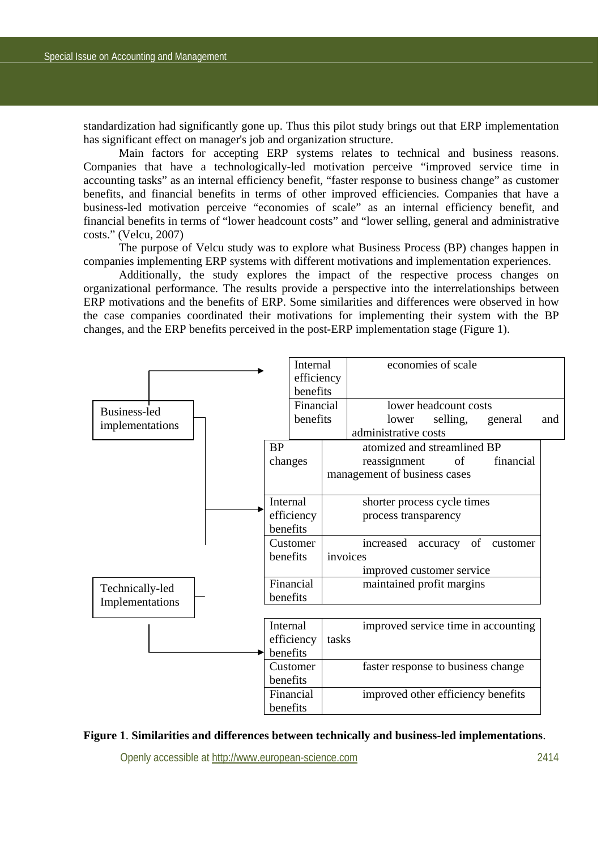standardization had significantly gone up. Thus this pilot study brings out that ERP implementation has significant effect on manager's job and organization structure.

Main factors for accepting ERP systems relates to technical and business reasons. Companies that have a technologically-led motivation perceive "improved service time in accounting tasks" as an internal efficiency benefit, "faster response to business change" as customer benefits, and financial benefits in terms of other improved efficiencies. Companies that have a business-led motivation perceive "economies of scale" as an internal efficiency benefit, and financial benefits in terms of "lower headcount costs" and "lower selling, general and administrative costs." (Velcu, 2007)

The purpose of Velcu study was to explore what Business Process (BP) changes happen in companies implementing ERP systems with different motivations and implementation experiences.

Additionally, the study explores the impact of the respective process changes on organizational performance. The results provide a perspective into the interrelationships between ERP motivations and the benefits of ERP. Some similarities and differences were observed in how the case companies coordinated their motivations for implementing their system with the BP changes, and the ERP benefits perceived in the post-ERP implementation stage (Figure 1).



**Figure 1**. **Similarities and differences between technically and business-led implementations**.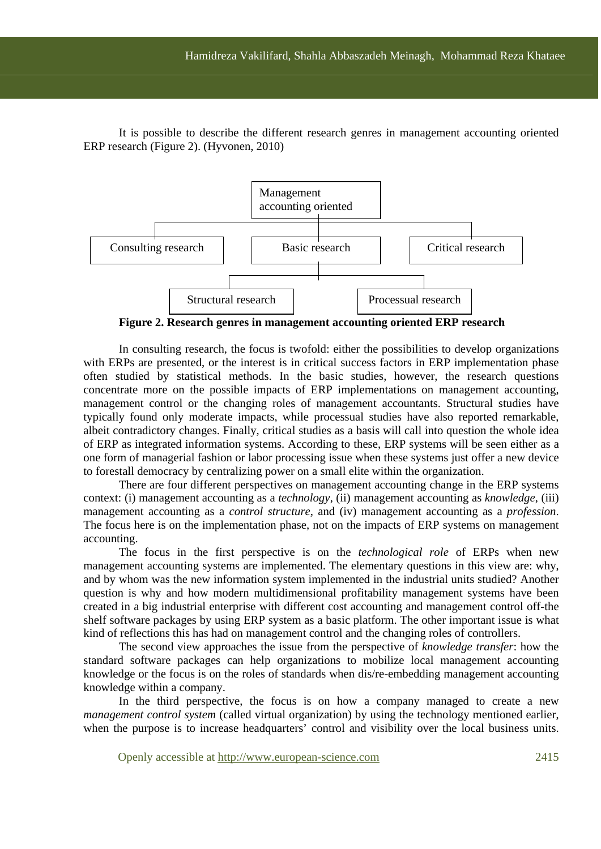It is possible to describe the different research genres in management accounting oriented ERP research (Figure 2). (Hyvonen, 2010)



**Figure 2. Research genres in management accounting oriented ERP research** 

In consulting research, the focus is twofold: either the possibilities to develop organizations with ERPs are presented, or the interest is in critical success factors in ERP implementation phase often studied by statistical methods. In the basic studies, however, the research questions concentrate more on the possible impacts of ERP implementations on management accounting, management control or the changing roles of management accountants. Structural studies have typically found only moderate impacts, while processual studies have also reported remarkable, albeit contradictory changes. Finally, critical studies as a basis will call into question the whole idea of ERP as integrated information systems. According to these, ERP systems will be seen either as a one form of managerial fashion or labor processing issue when these systems just offer a new device to forestall democracy by centralizing power on a small elite within the organization.

There are four different perspectives on management accounting change in the ERP systems context: (i) management accounting as a *technology*, (ii) management accounting as *knowledge*, (iii) management accounting as a *control structure*, and (iv) management accounting as a *profession*. The focus here is on the implementation phase, not on the impacts of ERP systems on management accounting.

The focus in the first perspective is on the *technological role* of ERPs when new management accounting systems are implemented. The elementary questions in this view are: why, and by whom was the new information system implemented in the industrial units studied? Another question is why and how modern multidimensional profitability management systems have been created in a big industrial enterprise with different cost accounting and management control off-the shelf software packages by using ERP system as a basic platform. The other important issue is what kind of reflections this has had on management control and the changing roles of controllers.

The second view approaches the issue from the perspective of *knowledge transfer*: how the standard software packages can help organizations to mobilize local management accounting knowledge or the focus is on the roles of standards when dis/re-embedding management accounting knowledge within a company.

In the third perspective, the focus is on how a company managed to create a new *management control system* (called virtual organization) by using the technology mentioned earlier, when the purpose is to increase headquarters' control and visibility over the local business units.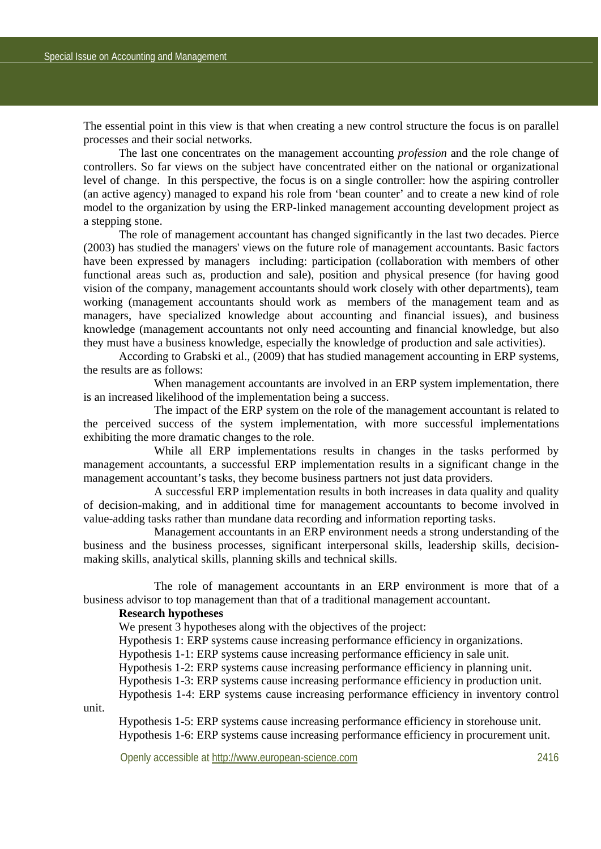The essential point in this view is that when creating a new control structure the focus is on parallel processes and their social networks*.*

The last one concentrates on the management accounting *profession* and the role change of controllers. So far views on the subject have concentrated either on the national or organizational level of change. In this perspective, the focus is on a single controller: how the aspiring controller (an active agency) managed to expand his role from 'bean counter' and to create a new kind of role model to the organization by using the ERP-linked management accounting development project as a stepping stone.

The role of management accountant has changed significantly in the last two decades. Pierce (2003) has studied the managers' views on the future role of management accountants. Basic factors have been expressed by managers including: participation (collaboration with members of other functional areas such as, production and sale), position and physical presence (for having good vision of the company, management accountants should work closely with other departments), team working (management accountants should work as members of the management team and as managers, have specialized knowledge about accounting and financial issues), and business knowledge (management accountants not only need accounting and financial knowledge, but also they must have a business knowledge, especially the knowledge of production and sale activities).

According to Grabski et al., (2009) that has studied management accounting in ERP systems, the results are as follows:

When management accountants are involved in an ERP system implementation, there is an increased likelihood of the implementation being a success.

 The impact of the ERP system on the role of the management accountant is related to the perceived success of the system implementation, with more successful implementations exhibiting the more dramatic changes to the role.

 While all ERP implementations results in changes in the tasks performed by management accountants, a successful ERP implementation results in a significant change in the management accountant's tasks, they become business partners not just data providers.

 A successful ERP implementation results in both increases in data quality and quality of decision-making, and in additional time for management accountants to become involved in value-adding tasks rather than mundane data recording and information reporting tasks.

 Management accountants in an ERP environment needs a strong understanding of the business and the business processes, significant interpersonal skills, leadership skills, decisionmaking skills, analytical skills, planning skills and technical skills.

 The role of management accountants in an ERP environment is more that of a business advisor to top management than that of a traditional management accountant.

### **Research hypotheses**

We present 3 hypotheses along with the objectives of the project:

Hypothesis 1: ERP systems cause increasing performance efficiency in organizations.

Hypothesis 1-1: ERP systems cause increasing performance efficiency in sale unit.

Hypothesis 1-2: ERP systems cause increasing performance efficiency in planning unit.

Hypothesis 1-3: ERP systems cause increasing performance efficiency in production unit.

Hypothesis 1-4: ERP systems cause increasing performance efficiency in inventory control

unit.

Hypothesis 1-5: ERP systems cause increasing performance efficiency in storehouse unit. Hypothesis 1-6: ERP systems cause increasing performance efficiency in procurement unit.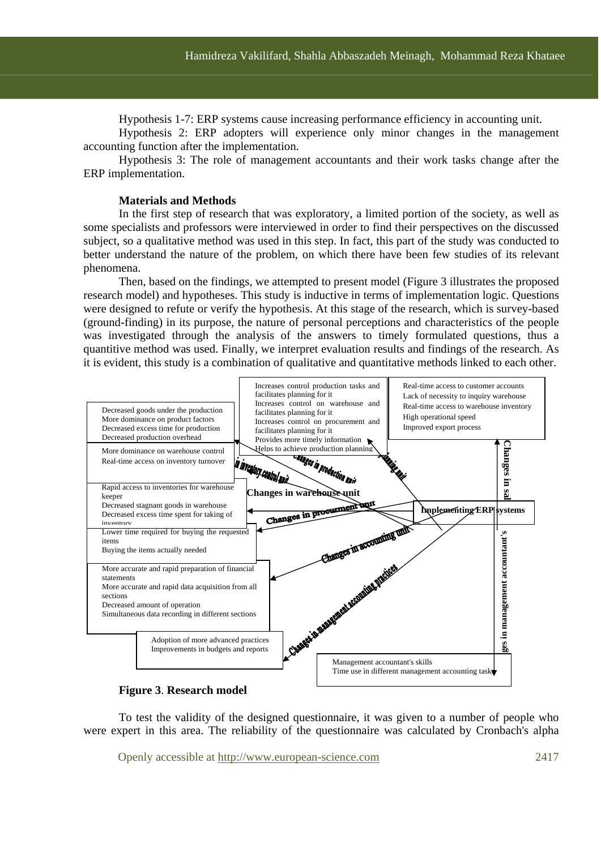Hypothesis 1-7: ERP systems cause increasing performance efficiency in accounting unit.

Hypothesis 2: ERP adopters will experience only minor changes in the management accounting function after the implementation.

Hypothesis 3: The role of management accountants and their work tasks change after the ERP implementation.

#### **Materials and Methods**

In the first step of research that was exploratory, a limited portion of the society, as well as some specialists and professors were interviewed in order to find their perspectives on the discussed subject, so a qualitative method was used in this step. In fact, this part of the study was conducted to better understand the nature of the problem, on which there have been few studies of its relevant phenomena.

Then, based on the findings, we attempted to present model (Figure 3 illustrates the proposed research model) and hypotheses. This study is inductive in terms of implementation logic. Questions were designed to refute or verify the hypothesis. At this stage of the research, which is survey-based (ground-finding) in its purpose, the nature of personal perceptions and characteristics of the people was investigated through the analysis of the answers to timely formulated questions, thus a quantitive method was used. Finally, we interpret evaluation results and findings of the research. As it is evident, this study is a combination of qualitative and quantitative methods linked to each other.



# **Figure 3**. **Research model**

To test the validity of the designed questionnaire, it was given to a number of people who were expert in this area. The reliability of the questionnaire was calculated by Cronbach's alpha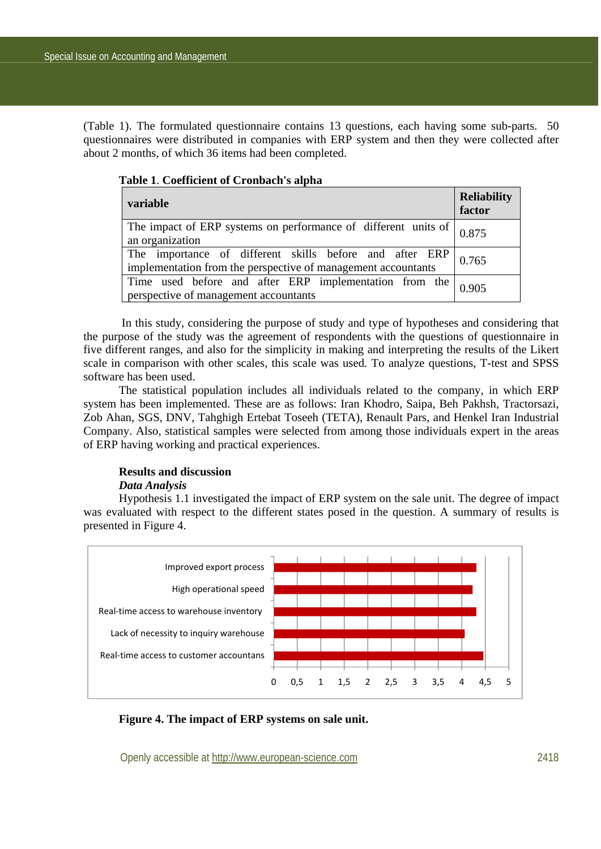(Table 1). The formulated questionnaire contains 13 questions, each having some sub-parts. 50 questionnaires were distributed in companies with ERP system and then they were collected after about 2 months, of which 36 items had been completed.

**Table 1**. **Coefficient of Cronbach's alpha**

| variable                                                                                                                   | <b>Reliability</b><br>factor |
|----------------------------------------------------------------------------------------------------------------------------|------------------------------|
| The impact of ERP systems on performance of different units of $\Big  0.875$<br>an organization                            |                              |
| The importance of different skills before and after ERP  <br>implementation from the perspective of management accountants | 0.765                        |
| Time used before and after ERP implementation from the $\vert_{c}$<br>perspective of management accountants                | 0.905                        |

 In this study, considering the purpose of study and type of hypotheses and considering that the purpose of the study was the agreement of respondents with the questions of questionnaire in five different ranges, and also for the simplicity in making and interpreting the results of the Likert scale in comparison with other scales, this scale was used. To analyze questions, T-test and SPSS software has been used.

The statistical population includes all individuals related to the company, in which ERP system has been implemented. These are as follows: Iran Khodro, Saipa, Beh Pakhsh, Tractorsazi, Zob Ahan, SGS, DNV, Tahghigh Ertebat Toseeh (TETA), Renault Pars, and Henkel Iran Industrial Company. Also, statistical samples were selected from among those individuals expert in the areas of ERP having working and practical experiences.

# **Results and discussion**

### *Data Analysis*

Hypothesis 1.1 investigated the impact of ERP system on the sale unit. The degree of impact was evaluated with respect to the different states posed in the question. A summary of results is presented in Figure 4.



**Figure 4. The impact of ERP systems on sale unit.**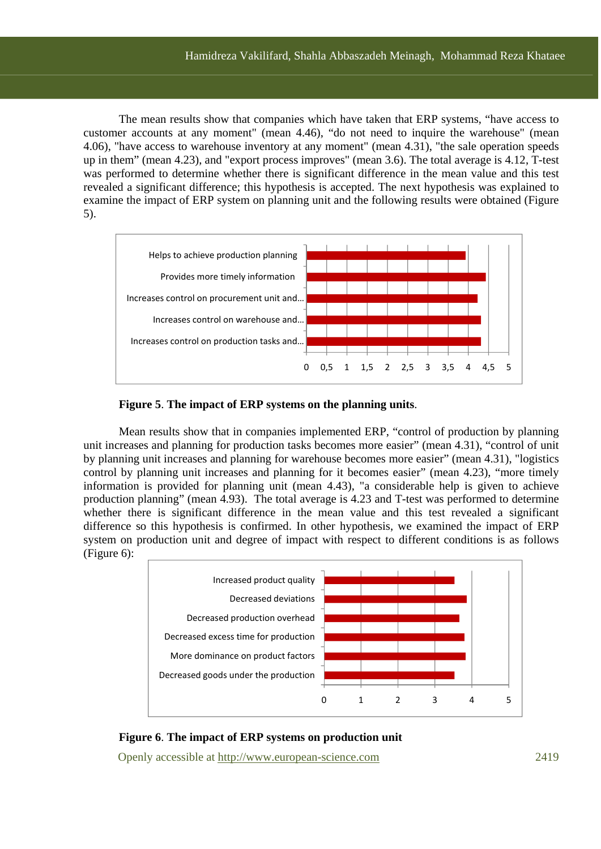The mean results show that companies which have taken that ERP systems, "have access to customer accounts at any moment" (mean 4.46), "do not need to inquire the warehouse" (mean 4.06), "have access to warehouse inventory at any moment" (mean 4.31), "the sale operation speeds up in them" (mean 4.23), and "export process improves" (mean 3.6). The total average is 4.12, T-test was performed to determine whether there is significant difference in the mean value and this test revealed a significant difference; this hypothesis is accepted. The next hypothesis was explained to examine the impact of ERP system on planning unit and the following results were obtained (Figure 5).



**Figure 5**. **The impact of ERP systems on the planning units**.

Mean results show that in companies implemented ERP, "control of production by planning unit increases and planning for production tasks becomes more easier" (mean 4.31), "control of unit by planning unit increases and planning for warehouse becomes more easier" (mean 4.31), "logistics control by planning unit increases and planning for it becomes easier" (mean 4.23), "more timely information is provided for planning unit (mean 4.43), "a considerable help is given to achieve production planning" (mean 4.93). The total average is 4.23 and T-test was performed to determine whether there is significant difference in the mean value and this test revealed a significant difference so this hypothesis is confirmed. In other hypothesis, we examined the impact of ERP system on production unit and degree of impact with respect to different conditions is as follows (Figure 6):



**Figure 6**. **The impact of ERP systems on production unit**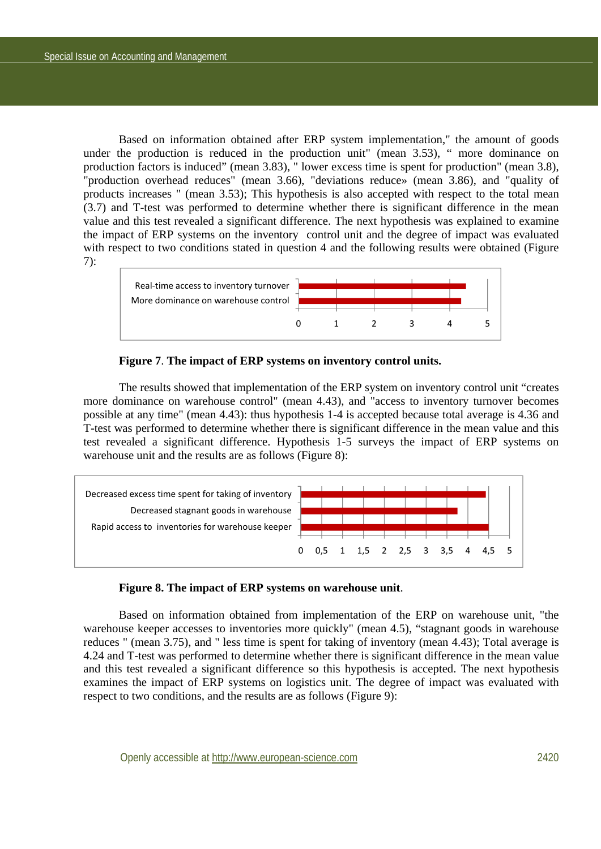Based on information obtained after ERP system implementation," the amount of goods under the production is reduced in the production unit" (mean 3.53), " more dominance on production factors is induced" (mean 3.83), " lower excess time is spent for production" (mean 3.8), "production overhead reduces" (mean 3.66), "deviations reduce» (mean 3.86), and "quality of products increases " (mean 3.53); This hypothesis is also accepted with respect to the total mean (3.7) and T-test was performed to determine whether there is significant difference in the mean value and this test revealed a significant difference. The next hypothesis was explained to examine the impact of ERP systems on the inventory control unit and the degree of impact was evaluated with respect to two conditions stated in question 4 and the following results were obtained (Figure 7):



**Figure 7**. **The impact of ERP systems on inventory control units.** 

The results showed that implementation of the ERP system on inventory control unit "creates more dominance on warehouse control" (mean 4.43), and "access to inventory turnover becomes possible at any time" (mean 4.43): thus hypothesis 1-4 is accepted because total average is 4.36 and T-test was performed to determine whether there is significant difference in the mean value and this test revealed a significant difference. Hypothesis 1-5 surveys the impact of ERP systems on warehouse unit and the results are as follows (Figure 8):



**Figure 8. The impact of ERP systems on warehouse unit**.

Based on information obtained from implementation of the ERP on warehouse unit, "the warehouse keeper accesses to inventories more quickly" (mean 4.5), "stagnant goods in warehouse reduces " (mean 3.75), and " less time is spent for taking of inventory (mean 4.43); Total average is 4.24 and T-test was performed to determine whether there is significant difference in the mean value and this test revealed a significant difference so this hypothesis is accepted. The next hypothesis examines the impact of ERP systems on logistics unit. The degree of impact was evaluated with respect to two conditions, and the results are as follows (Figure 9):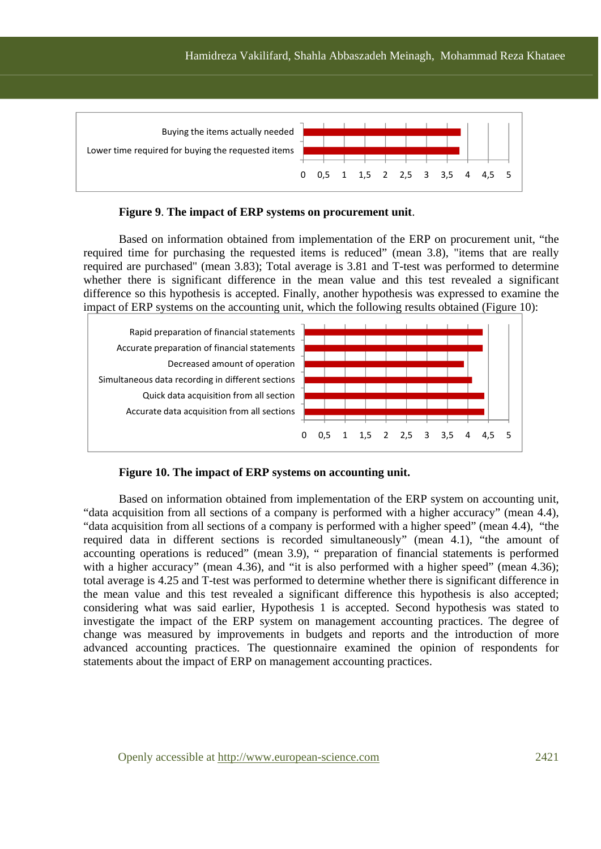

# **Figure 9**. **The impact of ERP systems on procurement unit**.

Based on information obtained from implementation of the ERP on procurement unit, "the required time for purchasing the requested items is reduced" (mean 3.8), "items that are really required are purchased" (mean 3.83); Total average is 3.81 and T-test was performed to determine whether there is significant difference in the mean value and this test revealed a significant difference so this hypothesis is accepted. Finally, another hypothesis was expressed to examine the impact of ERP systems on the accounting unit, which the following results obtained (Figure 10):



# **Figure 10. The impact of ERP systems on accounting unit.**

Based on information obtained from implementation of the ERP system on accounting unit, "data acquisition from all sections of a company is performed with a higher accuracy" (mean 4.4), "data acquisition from all sections of a company is performed with a higher speed" (mean 4.4), "the required data in different sections is recorded simultaneously" (mean 4.1), "the amount of accounting operations is reduced" (mean 3.9), " preparation of financial statements is performed with a higher accuracy" (mean 4.36), and "it is also performed with a higher speed" (mean 4.36); total average is 4.25 and T-test was performed to determine whether there is significant difference in the mean value and this test revealed a significant difference this hypothesis is also accepted; considering what was said earlier, Hypothesis 1 is accepted. Second hypothesis was stated to investigate the impact of the ERP system on management accounting practices. The degree of change was measured by improvements in budgets and reports and the introduction of more advanced accounting practices. The questionnaire examined the opinion of respondents for statements about the impact of ERP on management accounting practices.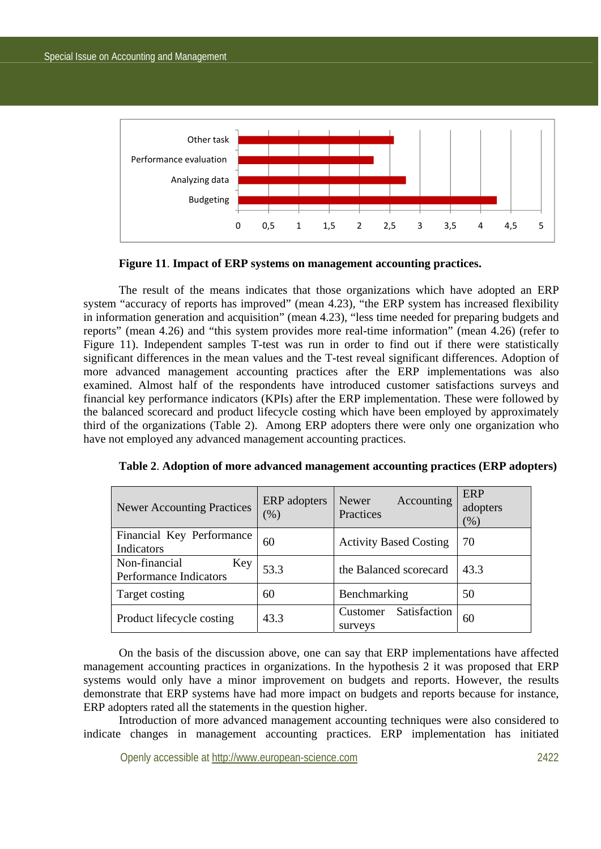

**Figure 11**. **Impact of ERP systems on management accounting practices.** 

The result of the means indicates that those organizations which have adopted an ERP system "accuracy of reports has improved" (mean 4.23), "the ERP system has increased flexibility in information generation and acquisition" (mean 4.23), "less time needed for preparing budgets and reports" (mean 4.26) and "this system provides more real-time information" (mean 4.26) (refer to Figure 11). Independent samples T-test was run in order to find out if there were statistically significant differences in the mean values and the T-test reveal significant differences. Adoption of more advanced management accounting practices after the ERP implementations was also examined. Almost half of the respondents have introduced customer satisfactions surveys and financial key performance indicators (KPIs) after the ERP implementation. These were followed by the balanced scorecard and product lifecycle costing which have been employed by approximately third of the organizations (Table 2). Among ERP adopters there were only one organization who have not employed any advanced management accounting practices.

| <b>Newer Accounting Practices</b>              | ERP adopters<br>(%) | Accounting<br>Newer<br>Practices    | ERP<br>adopters<br>$(\% )$ |
|------------------------------------------------|---------------------|-------------------------------------|----------------------------|
| Financial Key Performance<br>Indicators        | 60                  | <b>Activity Based Costing</b>       | 70                         |
| Non-financial<br>Key<br>Performance Indicators | 53.3                | the Balanced scorecard              | 43.3                       |
| Target costing                                 | 60                  | Benchmarking                        | 50                         |
| Product lifecycle costing                      | 43.3                | Satisfaction<br>Customer<br>surveys | 60                         |

**Table 2**. **Adoption of more advanced management accounting practices (ERP adopters)** 

On the basis of the discussion above, one can say that ERP implementations have affected management accounting practices in organizations. In the hypothesis 2 it was proposed that ERP systems would only have a minor improvement on budgets and reports. However, the results demonstrate that ERP systems have had more impact on budgets and reports because for instance, ERP adopters rated all the statements in the question higher.

Introduction of more advanced management accounting techniques were also considered to indicate changes in management accounting practices. ERP implementation has initiated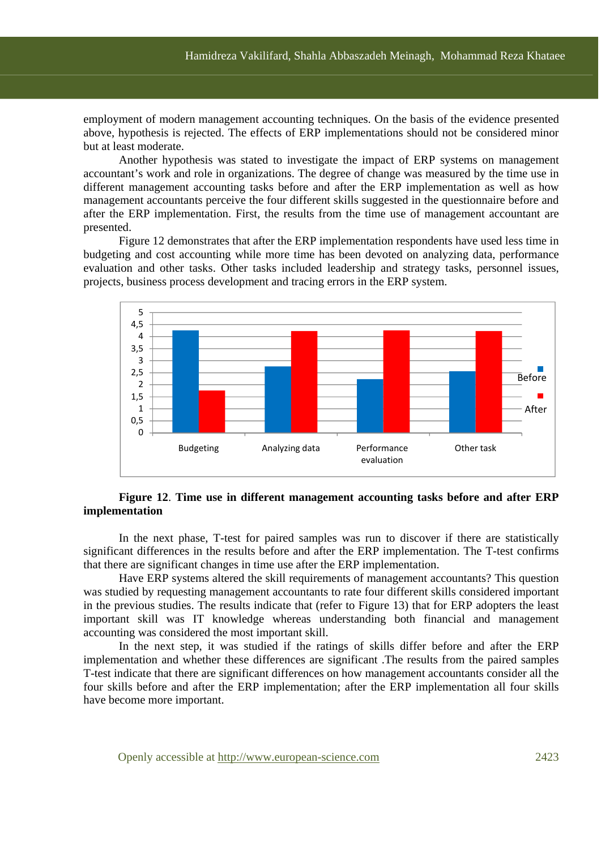employment of modern management accounting techniques. On the basis of the evidence presented above, hypothesis is rejected. The effects of ERP implementations should not be considered minor but at least moderate.

Another hypothesis was stated to investigate the impact of ERP systems on management accountant's work and role in organizations. The degree of change was measured by the time use in different management accounting tasks before and after the ERP implementation as well as how management accountants perceive the four different skills suggested in the questionnaire before and after the ERP implementation. First, the results from the time use of management accountant are presented.

Figure 12 demonstrates that after the ERP implementation respondents have used less time in budgeting and cost accounting while more time has been devoted on analyzing data, performance evaluation and other tasks. Other tasks included leadership and strategy tasks, personnel issues, projects, business process development and tracing errors in the ERP system.



# **Figure 12**. **Time use in different management accounting tasks before and after ERP implementation**

In the next phase, T-test for paired samples was run to discover if there are statistically significant differences in the results before and after the ERP implementation. The T-test confirms that there are significant changes in time use after the ERP implementation.

Have ERP systems altered the skill requirements of management accountants? This question was studied by requesting management accountants to rate four different skills considered important in the previous studies. The results indicate that (refer to Figure 13) that for ERP adopters the least important skill was IT knowledge whereas understanding both financial and management accounting was considered the most important skill.

In the next step, it was studied if the ratings of skills differ before and after the ERP implementation and whether these differences are significant .The results from the paired samples T-test indicate that there are significant differences on how management accountants consider all the four skills before and after the ERP implementation; after the ERP implementation all four skills have become more important.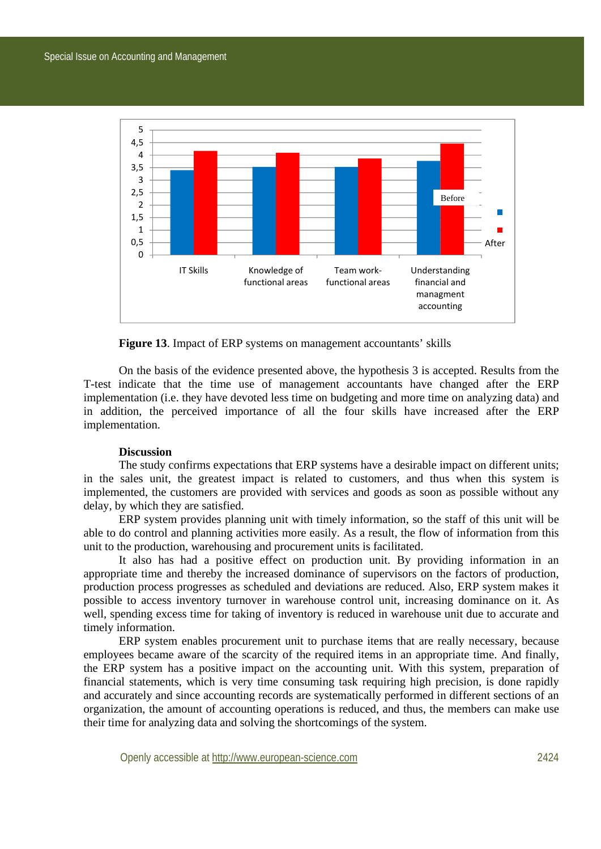

**Figure 13**. Impact of ERP systems on management accountants' skills

On the basis of the evidence presented above, the hypothesis 3 is accepted. Results from the T-test indicate that the time use of management accountants have changed after the ERP implementation (i.e. they have devoted less time on budgeting and more time on analyzing data) and in addition, the perceived importance of all the four skills have increased after the ERP implementation.

# **Discussion**

The study confirms expectations that ERP systems have a desirable impact on different units; in the sales unit, the greatest impact is related to customers, and thus when this system is implemented, the customers are provided with services and goods as soon as possible without any delay, by which they are satisfied.

ERP system provides planning unit with timely information, so the staff of this unit will be able to do control and planning activities more easily. As a result, the flow of information from this unit to the production, warehousing and procurement units is facilitated.

It also has had a positive effect on production unit. By providing information in an appropriate time and thereby the increased dominance of supervisors on the factors of production, production process progresses as scheduled and deviations are reduced. Also, ERP system makes it possible to access inventory turnover in warehouse control unit, increasing dominance on it. As well, spending excess time for taking of inventory is reduced in warehouse unit due to accurate and timely information.

ERP system enables procurement unit to purchase items that are really necessary, because employees became aware of the scarcity of the required items in an appropriate time. And finally, the ERP system has a positive impact on the accounting unit. With this system, preparation of financial statements, which is very time consuming task requiring high precision, is done rapidly and accurately and since accounting records are systematically performed in different sections of an organization, the amount of accounting operations is reduced, and thus, the members can make use their time for analyzing data and solving the shortcomings of the system.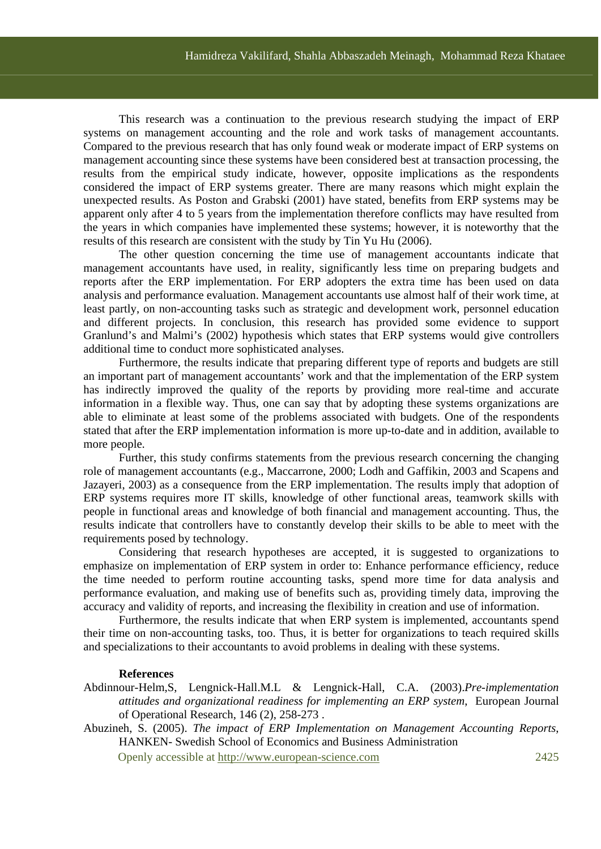This research was a continuation to the previous research studying the impact of ERP systems on management accounting and the role and work tasks of management accountants. Compared to the previous research that has only found weak or moderate impact of ERP systems on management accounting since these systems have been considered best at transaction processing, the results from the empirical study indicate, however, opposite implications as the respondents considered the impact of ERP systems greater. There are many reasons which might explain the unexpected results. As Poston and Grabski (2001) have stated, benefits from ERP systems may be apparent only after 4 to 5 years from the implementation therefore conflicts may have resulted from the years in which companies have implemented these systems; however, it is noteworthy that the results of this research are consistent with the study by Tin Yu Hu (2006).

The other question concerning the time use of management accountants indicate that management accountants have used, in reality, significantly less time on preparing budgets and reports after the ERP implementation. For ERP adopters the extra time has been used on data analysis and performance evaluation. Management accountants use almost half of their work time, at least partly, on non-accounting tasks such as strategic and development work, personnel education and different projects. In conclusion, this research has provided some evidence to support Granlund's and Malmi's (2002) hypothesis which states that ERP systems would give controllers additional time to conduct more sophisticated analyses.

Furthermore, the results indicate that preparing different type of reports and budgets are still an important part of management accountants' work and that the implementation of the ERP system has indirectly improved the quality of the reports by providing more real-time and accurate information in a flexible way. Thus, one can say that by adopting these systems organizations are able to eliminate at least some of the problems associated with budgets. One of the respondents stated that after the ERP implementation information is more up-to-date and in addition, available to more people.

Further, this study confirms statements from the previous research concerning the changing role of management accountants (e.g., Maccarrone, 2000; Lodh and Gaffikin, 2003 and Scapens and Jazayeri, 2003) as a consequence from the ERP implementation. The results imply that adoption of ERP systems requires more IT skills, knowledge of other functional areas, teamwork skills with people in functional areas and knowledge of both financial and management accounting. Thus, the results indicate that controllers have to constantly develop their skills to be able to meet with the requirements posed by technology.

Considering that research hypotheses are accepted, it is suggested to organizations to emphasize on implementation of ERP system in order to: Enhance performance efficiency, reduce the time needed to perform routine accounting tasks, spend more time for data analysis and performance evaluation, and making use of benefits such as, providing timely data, improving the accuracy and validity of reports, and increasing the flexibility in creation and use of information.

Furthermore, the results indicate that when ERP system is implemented, accountants spend their time on non-accounting tasks, too. Thus, it is better for organizations to teach required skills and specializations to their accountants to avoid problems in dealing with these systems.

#### **References**

- Abdinnour-Helm,S, Lengnick-Hall.M.L & Lengnick-Hall, C.A. (2003).*Pre-implementation attitudes and organizational readiness for implementing an ERP system*, European Journal of Operational Research, 146 (2), 258-273 .
- Abuzineh, S. (2005). *The impact of ERP Implementation on Management Accounting Reports*, HANKEN- Swedish School of Economics and Business Administration